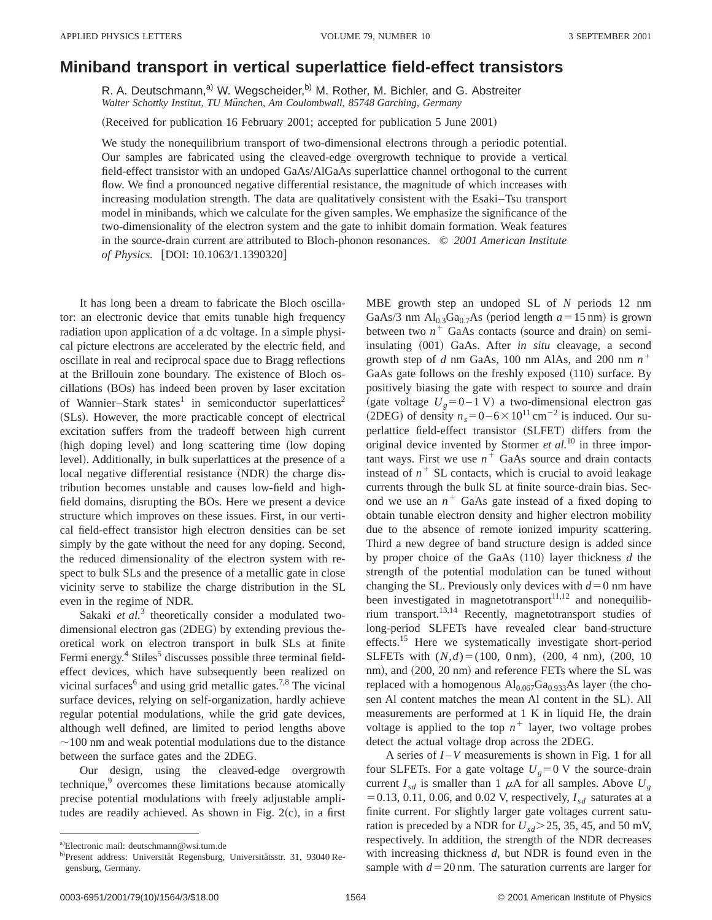## **Miniband transport in vertical superlattice field-effect transistors**

R. A. Deutschmann,<sup>a)</sup> W. Wegscheider,<sup>b)</sup> M. Rother, M. Bichler, and G. Abstreiter *Walter Schottky Institut, TU Mu¨nchen, Am Coulombwall, 85748 Garching, Germany*

(Received for publication 16 February 2001; accepted for publication 5 June 2001)

We study the nonequilibrium transport of two-dimensional electrons through a periodic potential. Our samples are fabricated using the cleaved-edge overgrowth technique to provide a vertical field-effect transistor with an undoped GaAs/AlGaAs superlattice channel orthogonal to the current flow. We find a pronounced negative differential resistance, the magnitude of which increases with increasing modulation strength. The data are qualitatively consistent with the Esaki–Tsu transport model in minibands, which we calculate for the given samples. We emphasize the significance of the two-dimensionality of the electron system and the gate to inhibit domain formation. Weak features in the source-drain current are attributed to Bloch-phonon resonances. © *2001 American Institute of Physics.* [DOI: 10.1063/1.1390320]

It has long been a dream to fabricate the Bloch oscillator: an electronic device that emits tunable high frequency radiation upon application of a dc voltage. In a simple physical picture electrons are accelerated by the electric field, and oscillate in real and reciprocal space due to Bragg reflections at the Brillouin zone boundary. The existence of Bloch oscillations (BOs) has indeed been proven by laser excitation of Wannier–Stark states<sup>1</sup> in semiconductor superlattices<sup>2</sup> (SLs). However, the more practicable concept of electrical excitation suffers from the tradeoff between high current (high doping level) and long scattering time (low doping level). Additionally, in bulk superlattices at the presence of a local negative differential resistance (NDR) the charge distribution becomes unstable and causes low-field and highfield domains, disrupting the BOs. Here we present a device structure which improves on these issues. First, in our vertical field-effect transistor high electron densities can be set simply by the gate without the need for any doping. Second, the reduced dimensionality of the electron system with respect to bulk SLs and the presence of a metallic gate in close vicinity serve to stabilize the charge distribution in the SL even in the regime of NDR.

Sakaki *et al.*<sup>3</sup> theoretically consider a modulated twodimensional electron gas (2DEG) by extending previous theoretical work on electron transport in bulk SLs at finite Fermi energy.<sup>4</sup> Stiles<sup>5</sup> discusses possible three terminal fieldeffect devices, which have subsequently been realized on vicinal surfaces<sup>6</sup> and using grid metallic gates.<sup>7,8</sup> The vicinal surface devices, relying on self-organization, hardly achieve regular potential modulations, while the grid gate devices, although well defined, are limited to period lengths above  $\sim$ 100 nm and weak potential modulations due to the distance between the surface gates and the 2DEG.

Our design, using the cleaved-edge overgrowth technique,<sup>9</sup> overcomes these limitations because atomically precise potential modulations with freely adjustable amplitudes are readily achieved. As shown in Fig.  $2(c)$ , in a first MBE growth step an undoped SL of *N* periods 12 nm GaAs/3 nm  $Al_{0.3}Ga_{0.7}As$  (period length  $a=15$  nm) is grown between two  $n^+$  GaAs contacts (source and drain) on semiinsulating  $(001)$  GaAs. After *in situ* cleavage, a second growth step of *d* nm GaAs, 100 nm AlAs, and 200 nm  $n^+$ GaAs gate follows on the freshly exposed  $(110)$  surface. By positively biasing the gate with respect to source and drain (gate voltage  $U_g$ =0–1 V) a two-dimensional electron gas (2DEG) of density  $n_s = 0-6 \times 10^{11} \text{ cm}^{-2}$  is induced. Our superlattice field-effect transistor (SLFET) differs from the original device invented by Stormer *et al.*<sup>10</sup> in three important ways. First we use  $n^+$  GaAs source and drain contacts instead of  $n^+$  SL contacts, which is crucial to avoid leakage currents through the bulk SL at finite source-drain bias. Second we use an  $n^+$  GaAs gate instead of a fixed doping to obtain tunable electron density and higher electron mobility due to the absence of remote ionized impurity scattering. Third a new degree of band structure design is added since by proper choice of the GaAs  $(110)$  layer thickness *d* the strength of the potential modulation can be tuned without changing the SL. Previously only devices with  $d=0$  nm have been investigated in magnetotransport $11,12$  and nonequilibrium transport.13,14 Recently, magnetotransport studies of long-period SLFETs have revealed clear band-structure effects.<sup>15</sup> Here we systematically investigate short-period SLFETs with  $(N,d) = (100, 0 \text{ nm})$ ,  $(200, 4 \text{ nm})$ ,  $(200, 10 \text{ nm})$ nm), and  $(200, 20 \text{ nm})$  and reference FETs where the SL was replaced with a homogenous  $Al_{0.067}Ga_{0.933}As$  layer (the chosen Al content matches the mean Al content in the SL). All measurements are performed at 1 K in liquid He, the drain voltage is applied to the top  $n^+$  layer, two voltage probes detect the actual voltage drop across the 2DEG.

A series of *I* –*V* measurements is shown in Fig. 1 for all four SLFETs. For a gate voltage  $U<sub>g</sub>=0$  V the source-drain current  $I_{sd}$  is smaller than 1  $\mu$ A for all samples. Above  $U_g$  $=0.13, 0.11, 0.06,$  and 0.02 V, respectively,  $I_{sd}$  saturates at a finite current. For slightly larger gate voltages current saturation is preceded by a NDR for  $U_{sd}$   $\geq$  25, 35, 45, and 50 mV, respectively. In addition, the strength of the NDR decreases with increasing thickness *d*, but NDR is found even in the sample with  $d=20$  nm. The saturation currents are larger for

a)Electronic mail: deutschmann@wsi.tum.de

b)Present address: Universität Regensburg, Universitätsstr. 31, 93040 Regensburg, Germany.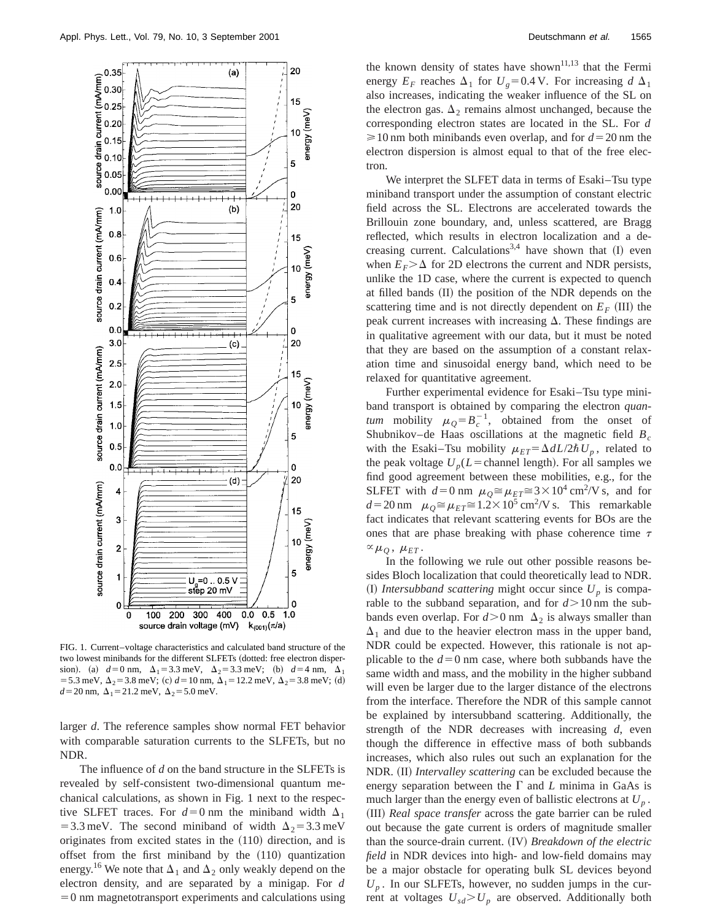

FIG. 1. Current–voltage characteristics and calculated band structure of the two lowest minibands for the different SLFETs (dotted: free electron dispersion). (a)  $d=0$  nm,  $\Delta_1=3.3$  meV,  $\Delta_2=3.3$  meV; (b)  $d=4$  nm,  $\Delta_1$ = 5.3 meV,  $\Delta_2$  = 3.8 meV; (c)  $d$  = 10 nm,  $\Delta_1$  = 12.2 meV,  $\Delta_2$  = 3.8 meV; (d)  $d=20$  nm,  $\Delta_1=21.2$  meV,  $\Delta_2=5.0$  meV.

larger *d*. The reference samples show normal FET behavior with comparable saturation currents to the SLFETs, but no NDR.

The influence of *d* on the band structure in the SLFETs is revealed by self-consistent two-dimensional quantum mechanical calculations, as shown in Fig. 1 next to the respective SLFET traces. For  $d=0$  nm the miniband width  $\Delta_1$ = 3.3 meV. The second miniband of width  $\Delta_2$  = 3.3 meV originates from excited states in the  $(110)$  direction, and is offset from the first miniband by the  $(110)$  quantization energy.<sup>16</sup> We note that  $\Delta_1$  and  $\Delta_2$  only weakly depend on the electron density, and are separated by a minigap. For *d*  $=0$  nm magnetotransport experiments and calculations using the known density of states have shown<sup>11,13</sup> that the Fermi energy  $E_F$  reaches  $\Delta_1$  for  $U_g$ =0.4 V. For increasing *d*  $\Delta_1$ also increases, indicating the weaker influence of the SL on the electron gas.  $\Delta_2$  remains almost unchanged, because the corresponding electron states are located in the SL. For *d*  $\geq 10$  nm both minibands even overlap, and for  $d=20$  nm the electron dispersion is almost equal to that of the free electron.

We interpret the SLFET data in terms of Esaki–Tsu type miniband transport under the assumption of constant electric field across the SL. Electrons are accelerated towards the Brillouin zone boundary, and, unless scattered, are Bragg reflected, which results in electron localization and a decreasing current. Calculations<sup>3,4</sup> have shown that  $(I)$  even when  $E_F > \Delta$  for 2D electrons the current and NDR persists, unlike the 1D case, where the current is expected to quench at filled bands (II) the position of the NDR depends on the scattering time and is not directly dependent on  $E_F$  (III) the peak current increases with increasing  $\Delta$ . These findings are in qualitative agreement with our data, but it must be noted that they are based on the assumption of a constant relaxation time and sinusoidal energy band, which need to be relaxed for quantitative agreement.

Further experimental evidence for Esaki–Tsu type miniband transport is obtained by comparing the electron *quantum* mobility  $\mu_Q = B_c^{-1}$ , obtained from the onset of Shubnikov–de Haas oscillations at the magnetic field  $B_c$ with the Esaki–Tsu mobility  $\mu_{ET} = \Delta dL/2\hbar U_p$ , related to the peak voltage  $U_p(L=$ channel length). For all samples we find good agreement between these mobilities, e.g., for the SLFET with  $d=0$  nm  $\mu_{Q} \cong \mu_{ET} \cong 3 \times 10^{4}$  cm<sup>2</sup>/V s, and for  $d=20$  nm  $\mu_{Q} \approx \mu_{ET} \approx 1.2 \times 10^5$  cm<sup>2</sup>/V s. This remarkable fact indicates that relevant scattering events for BOs are the ones that are phase breaking with phase coherence time  $\tau$  $\alpha \mu_O$ ,  $\mu_{ET}$ .

In the following we rule out other possible reasons besides Bloch localization that could theoretically lead to NDR. (I) *Intersubband scattering* might occur since  $U_p$  is comparable to the subband separation, and for  $d > 10$  nm the subbands even overlap. For  $d > 0$  nm  $\Delta_2$  is always smaller than  $\Delta_1$  and due to the heavier electron mass in the upper band, NDR could be expected. However, this rationale is not applicable to the  $d=0$  nm case, where both subbands have the same width and mass, and the mobility in the higher subband will even be larger due to the larger distance of the electrons from the interface. Therefore the NDR of this sample cannot be explained by intersubband scattering. Additionally, the strength of the NDR decreases with increasing *d*, even though the difference in effective mass of both subbands increases, which also rules out such an explanation for the NDR. (II) *Intervalley scattering* can be excluded because the energy separation between the  $\Gamma$  and  $L$  minima in GaAs is much larger than the energy even of ballistic electrons at  $U_p$ . (III) *Real space transfer* across the gate barrier can be ruled out because the gate current is orders of magnitude smaller than the source-drain current. (IV) *Breakdown of the electric field* in NDR devices into high- and low-field domains may be a major obstacle for operating bulk SL devices beyond  $U_p$ . In our SLFETs, however, no sudden jumps in the current at voltages  $U_{sd} > U_p$  are observed. Additionally both